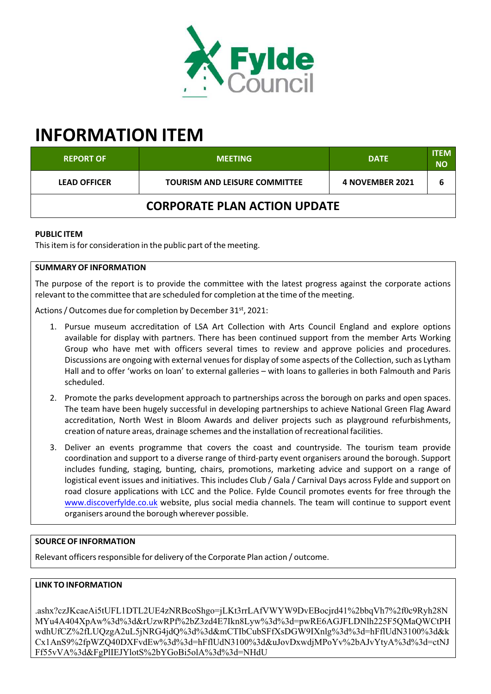

# **INFORMATION ITEM**

| <b>REPORT OF</b>                    | <b>MEETING</b>                       | <b>DATE</b>     | <b>ITEM</b><br><b>NO</b> |
|-------------------------------------|--------------------------------------|-----------------|--------------------------|
| <b>LEAD OFFICER</b>                 | <b>TOURISM AND LEISURE COMMITTEE</b> | 4 NOVEMBER 2021 |                          |
| <b>CORPORATE PLAN ACTION UPDATE</b> |                                      |                 |                          |

### **PUBLIC ITEM**

This item is for consideration in the public part of the meeting.

## **SUMMARY OF INFORMATION**

The purpose of the report is to provide the committee with the latest progress against the corporate actions relevant to the committee that are scheduled for completion at the time of the meeting.

Actions / Outcomes due for completion by December 31st, 2021:

- 1. Pursue museum accreditation of LSA Art Collection with Arts Council England and explore options available for display with partners. There has been continued support from the member Arts Working Group who have met with officers several times to review and approve policies and procedures. Discussions are ongoing with external venues for display of some aspects of the Collection, such as Lytham Hall and to offer 'works on loan' to external galleries – with loans to galleries in both Falmouth and Paris scheduled.
- 2. Promote the parks development approach to partnerships across the borough on parks and open spaces. The team have been hugely successful in developing partnerships to achieve National Green Flag Award accreditation, North West in Bloom Awards and deliver projects such as playground refurbishments, creation of nature areas, drainage schemes and the installation ofrecreational facilities.
- 3. Deliver an events programme that covers the coast and countryside. The tourism team provide coordination and support to a diverse range of third‐party event organisers around the borough. Support includes funding, staging, bunting, chairs, promotions, marketing advice and support on a range of logistical event issues and initiatives. This includes Club / Gala / Carnival Days across Fylde and support on road closure applications with LCC and the Police. Fylde Council promotes events for free through the www.discoverfylde.co.uk website, plus social media channels. The team will continue to support event organisers around the borough wherever possible.

### **SOURCE OF INFORMATION**

Relevant officers responsible for delivery of the Corporate Plan action / outcome.

### **LINK TO INFORMATION**

.ashx?czJKcaeAi5tUFL1DTL2UE4zNRBcoShgo=jLKt3rrLAfVWYW9DvEBocjrd41%2bbqVh7%2f0c9Ryh28N MYu4A404XpAw%3d%3d&rUzwRPf%2bZ3zd4E7Ikn8Lyw%3d%3d=pwRE6AGJFLDNlh225F5QMaQWCtPH wdhUfCZ%2fLUQzgA2uL5jNRG4jdQ%3d%3d&mCTIbCubSFfXsDGW9IXnlg%3d%3d=hFflUdN3100%3d&k Cx1AnS9%2fpWZQ40DXFvdEw%3d%3d=hFflUdN3100%3d&uJovDxwdjMPoYv%2bAJvYtyA%3d%3d=ctNJ Ff55vVA%3d&FgPlIEJYlotS%2bYGoBi5olA%3d%3d=NHdU